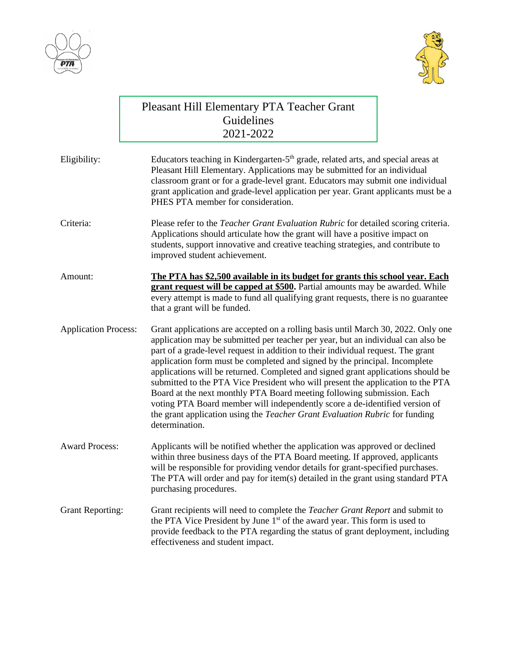



|                             | Pleasant Hill Elementary PTA Teacher Grant<br>Guidelines<br>2021-2022                                                                                                                                                                                                                                                                                                                                                                                                                                                                                                                                                                                                                                                                                                    |
|-----------------------------|--------------------------------------------------------------------------------------------------------------------------------------------------------------------------------------------------------------------------------------------------------------------------------------------------------------------------------------------------------------------------------------------------------------------------------------------------------------------------------------------------------------------------------------------------------------------------------------------------------------------------------------------------------------------------------------------------------------------------------------------------------------------------|
| Eligibility:                | Educators teaching in Kindergarten-5 <sup>th</sup> grade, related arts, and special areas at<br>Pleasant Hill Elementary. Applications may be submitted for an individual<br>classroom grant or for a grade-level grant. Educators may submit one individual<br>grant application and grade-level application per year. Grant applicants must be a<br>PHES PTA member for consideration.                                                                                                                                                                                                                                                                                                                                                                                 |
| Criteria:                   | Please refer to the <i>Teacher Grant Evaluation Rubric</i> for detailed scoring criteria.<br>Applications should articulate how the grant will have a positive impact on<br>students, support innovative and creative teaching strategies, and contribute to<br>improved student achievement.                                                                                                                                                                                                                                                                                                                                                                                                                                                                            |
| Amount:                     | The PTA has \$2,500 available in its budget for grants this school year. Each<br>grant request will be capped at \$500. Partial amounts may be awarded. While<br>every attempt is made to fund all qualifying grant requests, there is no guarantee<br>that a grant will be funded.                                                                                                                                                                                                                                                                                                                                                                                                                                                                                      |
| <b>Application Process:</b> | Grant applications are accepted on a rolling basis until March 30, 2022. Only one<br>application may be submitted per teacher per year, but an individual can also be<br>part of a grade-level request in addition to their individual request. The grant<br>application form must be completed and signed by the principal. Incomplete<br>applications will be returned. Completed and signed grant applications should be<br>submitted to the PTA Vice President who will present the application to the PTA<br>Board at the next monthly PTA Board meeting following submission. Each<br>voting PTA Board member will independently score a de-identified version of<br>the grant application using the Teacher Grant Evaluation Rubric for funding<br>determination. |
| <b>Award Process:</b>       | Applicants will be notified whether the application was approved or declined<br>within three business days of the PTA Board meeting. If approved, applicants<br>will be responsible for providing vendor details for grant-specified purchases.<br>The PTA will order and pay for item(s) detailed in the grant using standard PTA<br>purchasing procedures.                                                                                                                                                                                                                                                                                                                                                                                                             |
| <b>Grant Reporting:</b>     | Grant recipients will need to complete the <i>Teacher Grant Report</i> and submit to<br>the PTA Vice President by June 1 <sup>st</sup> of the award year. This form is used to<br>provide feedback to the PTA regarding the status of grant deployment, including<br>effectiveness and student impact.                                                                                                                                                                                                                                                                                                                                                                                                                                                                   |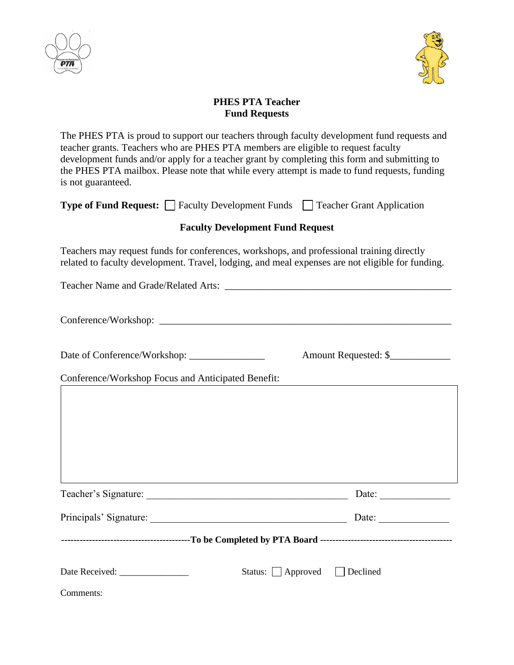



## **PHES PTA Teacher Fund Requests**

The PHES PTA is proud to support our teachers through faculty development fund requests and teacher grants. Teachers who are PHES PTA members are eligible to request faculty development funds and/or apply for a teacher grant by completing this form and submitting to the PHES PTA mailbox. Please note that while every attempt is made to fund requests, funding is not guaranteed.

| <b>Type of Fund Request:</b> Faculty Development Funds Teacher Grant Application                                                                                                              |  |  |
|-----------------------------------------------------------------------------------------------------------------------------------------------------------------------------------------------|--|--|
| <b>Faculty Development Fund Request</b>                                                                                                                                                       |  |  |
| Teachers may request funds for conferences, workshops, and professional training directly<br>related to faculty development. Travel, lodging, and meal expenses are not eligible for funding. |  |  |
|                                                                                                                                                                                               |  |  |
|                                                                                                                                                                                               |  |  |
| Amount Requested: \$                                                                                                                                                                          |  |  |
| Conference/Workshop Focus and Anticipated Benefit:                                                                                                                                            |  |  |
|                                                                                                                                                                                               |  |  |
|                                                                                                                                                                                               |  |  |
|                                                                                                                                                                                               |  |  |
|                                                                                                                                                                                               |  |  |
|                                                                                                                                                                                               |  |  |
| Principals' Signature: Date: Date:                                                                                                                                                            |  |  |
|                                                                                                                                                                                               |  |  |
| Status: □ Approved □ Declined                                                                                                                                                                 |  |  |

Comments: